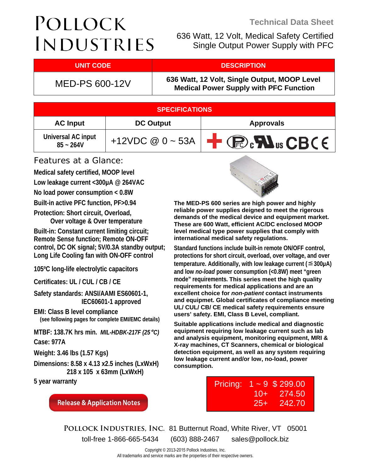# POLLOCK **INDUSTRIES**

 636 Watt, 12 Volt, Medical Safety Certified Single Output Power Supply with PFC

### **UNIT CODE And DESCRIPTION**

MED-PS 600-12V **636 Watt, 12 Volt, Single Output, MOOP Level Medical Power Supply with PFC Function**

| <b>SPECIFICATIONS</b>             |                       |                                                                                       |  |  |  |
|-----------------------------------|-----------------------|---------------------------------------------------------------------------------------|--|--|--|
| <b>AC Input</b>                   | <b>DC Output</b>      | <b>Approvals</b>                                                                      |  |  |  |
| Universal AC input<br>$85 - 264V$ | +12VDC $@ 0 \sim 53A$ | $\bigoplus$ $\mathbb{R}$ $\mathbb{R}$ $\mathbb{R}$ $\mathbb{R}$ $\mathbb{C}$ BC $\in$ |  |  |  |

### Features at a Glance:

**Medical safety certified, MOOP level** 

**Low leakage current <300μA @ 264VAC** 

**No load power consumption < 0.8W** 

**Built-in active PFC function, PF>0.94** 

**Protection: Short circuit, Overload, Over voltage & Over temperature** 

**Built-in: Constant current limiting circuit; Remote Sense function; Remote ON-OFF control, DC OK signal; 5V/0.3A standby output; Long Life Cooling fan with ON-OFF control** 

**105ºC long-life electrolytic capacitors** 

**Certificates: UL / CUL / CB / CE** 

**Safety standards: ANSI/AAMI ES60601-1, IEC60601-1 approved** 

**EMI: Class B level compliance (see following pages for complete EMI/EMC details)** 

**MTBF: 138.7K hrs min.** *MIL-HDBK-217F (25*º*C)* **Case: 977A** 

**Weight: 3.46 lbs (1.57 Kgs)** 

**Dimensions: 8.58 x 4.13 x2.5 inches (LxWxH) 218 x 105 x 63mm (LxWxH)** 

**5 year warranty** 

**Release & Application Notes** 



**The MED-PS 600 series are high power and highly reliable power supplies deigned to meet the rigerous demands of the medical device and equipment market. These are 600 Watt, efficient AC/DC enclosed MOOP level medical type power supplies that comply with international medical safety regulations.** 

**Standard functions include built-in remote ON/OFF control, protections for short circuit, overload, over voltage, and over temperature. Additionally, with low leakage current (**≦**300μA) and low** *no-load* **power consumption (<0.8W) meet "green mode" requirements. This series meet the high quality requirements for medical applications and are an excellent choice for** *non-patient* **contact instruments and equipmet. Global certificates of compliance meeting UL/ CUL/ CB/ CE medical safety requirements ensure users' safety. EMI, Class B Level, compliant.** 

**Suitable applications include medical and diagnostic equipment requiring low leakage current such as lab and analysis equipment, monitoring equipment, MRI & X-ray machines, CT Scanners, chemical or biological detection equipment, as well as any system requiring low leakage current and/or low, no-load, power consumption.**

| Pricing: |       | $1 - 9$ \$ 299.00 |
|----------|-------|-------------------|
|          | $10+$ | 274.50            |
|          | $25+$ | 242.70            |

**Pollock Industries, Inc.** 81 Butternut Road, White River, VT 05001 toll-free 1-866-665-5434 (603) 888-2467 sales@pollock.biz

> Copyright © 2013-2015 Pollock Industries, Inc. All trademarks and service marks are the properties of their respective owners.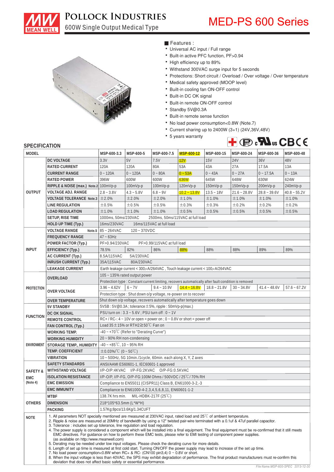

600W Single Output Medical Type

# POLLOCK INDUSTRIES MED-PS 600 Series



• Features :

- Universal AC input / Full range
- Built-in active PFC function, PF>0.94
- High efficiency up to 89%
- Withstand 300VAC surge input for 5 seconds
- Protections: Short circuit / Overload / Over voltage / Over temperature
- Medical safety approved (MOOP level)
- Built-in cooling fan ON-OFF control
- Built-in DC OK signal
- Built-in remote ON-OFF control
- Standby 5V@0.3A
- Built-in remote sense function
- No load power consumption<0.8W (Note.7)
- Current sharing up to 2400W (3+1) (24V,36V,48V)
- 5 years warranty



#### **SPECIFICATION**

| JI LVII IVAHVII                                                                                                                                 |                                                                                                                                                                                                                                                                                                                                                                                                                                                                                                                                                                                                                                                                                                                                                                                                                                                                                                                                                                                                                                                                                                                                                                                                     |                                                                                                                                  |                                      |               |                                                                 |                |                |                |                |
|-------------------------------------------------------------------------------------------------------------------------------------------------|-----------------------------------------------------------------------------------------------------------------------------------------------------------------------------------------------------------------------------------------------------------------------------------------------------------------------------------------------------------------------------------------------------------------------------------------------------------------------------------------------------------------------------------------------------------------------------------------------------------------------------------------------------------------------------------------------------------------------------------------------------------------------------------------------------------------------------------------------------------------------------------------------------------------------------------------------------------------------------------------------------------------------------------------------------------------------------------------------------------------------------------------------------------------------------------------------------|----------------------------------------------------------------------------------------------------------------------------------|--------------------------------------|---------------|-----------------------------------------------------------------|----------------|----------------|----------------|----------------|
| MODEL                                                                                                                                           |                                                                                                                                                                                                                                                                                                                                                                                                                                                                                                                                                                                                                                                                                                                                                                                                                                                                                                                                                                                                                                                                                                                                                                                                     | MSP-600-3.3                                                                                                                      | MSP-600-5                            | MSP-600-7.5   | MSP-600-12                                                      | MSP-600-15     | MSP-600-24     | MSP-600-36     | MSP-600-48     |
| DC VOLTAGE                                                                                                                                      |                                                                                                                                                                                                                                                                                                                                                                                                                                                                                                                                                                                                                                                                                                                                                                                                                                                                                                                                                                                                                                                                                                                                                                                                     | 3.3V                                                                                                                             | 5V                                   | 7.5V          | 12V                                                             | <b>15V</b>     | <b>24V</b>     | 36V            | 48V            |
|                                                                                                                                                 | <b>RATED CURRENT</b>                                                                                                                                                                                                                                                                                                                                                                                                                                                                                                                                                                                                                                                                                                                                                                                                                                                                                                                                                                                                                                                                                                                                                                                | 120A                                                                                                                             | 120A                                 | 80A           | 53A                                                             | 43A            | 27A            | 17.5A          | 13A            |
|                                                                                                                                                 | <b>CURRENT RANGE</b>                                                                                                                                                                                                                                                                                                                                                                                                                                                                                                                                                                                                                                                                                                                                                                                                                                                                                                                                                                                                                                                                                                                                                                                | $0 - 120A$                                                                                                                       | $0 - 120A$                           | $0 - 80A$     | $0 - 53A$                                                       | $0 - 43A$      | $0 - 27A$      | $0 - 17.5A$    | $0 - 13A$      |
|                                                                                                                                                 | <b>RATED POWER</b>                                                                                                                                                                                                                                                                                                                                                                                                                                                                                                                                                                                                                                                                                                                                                                                                                                                                                                                                                                                                                                                                                                                                                                                  | 396W                                                                                                                             | 600W                                 | 600W          | 636W                                                            | 645W           | 648W           | 630W           | 624W           |
|                                                                                                                                                 | RIPPLE & NOISE (max.) Note.2 100mVp-p                                                                                                                                                                                                                                                                                                                                                                                                                                                                                                                                                                                                                                                                                                                                                                                                                                                                                                                                                                                                                                                                                                                                                               |                                                                                                                                  | 100mVp-p                             | 100mVp-p      | 120mVp-p                                                        | 150mVp-p       | 150mVp-p       | 200mVp-p       | 240mVp-p       |
| <b>OUTPUT</b>                                                                                                                                   | <b>VOLTAGE ADJ. RANGE</b>                                                                                                                                                                                                                                                                                                                                                                                                                                                                                                                                                                                                                                                                                                                                                                                                                                                                                                                                                                                                                                                                                                                                                                           | $2.8 - 3.8V$                                                                                                                     | $4.3 - 5.8V$                         | $6.8 - 9V$    | $10.2 - 13.8V$                                                  | $13.5 - 18V$   | $21.6 - 28.8V$ | $28.8 - 39.6V$ | $40.8 - 55.2V$ |
|                                                                                                                                                 | <b>VOLTAGE TOLERANCE Note.3</b>                                                                                                                                                                                                                                                                                                                                                                                                                                                                                                                                                                                                                                                                                                                                                                                                                                                                                                                                                                                                                                                                                                                                                                     | $\pm 2.0\%$                                                                                                                      | ±2.0%                                | ±2.0%         | ±1.0%                                                           | ±1.0%          | ±1.0%          | ±1.0%          | ±1.0%          |
|                                                                                                                                                 | LINE REGULATION                                                                                                                                                                                                                                                                                                                                                                                                                                                                                                                                                                                                                                                                                                                                                                                                                                                                                                                                                                                                                                                                                                                                                                                     | ±0.5%                                                                                                                            | ±0.5%                                | ±0.5%         | ±0.3%                                                           | ±0.3%          | ±0.2%          | ±0.2%          | ±0.2%          |
|                                                                                                                                                 | <b>LOAD REGULATION</b>                                                                                                                                                                                                                                                                                                                                                                                                                                                                                                                                                                                                                                                                                                                                                                                                                                                                                                                                                                                                                                                                                                                                                                              | ±1.0%                                                                                                                            | ±1.0%                                | ±1.0%         | ±0.5%                                                           | ±0.5%          | ±0.5%          | ±0.5%          | ±0.5%          |
|                                                                                                                                                 | SETUP, RISE TIME                                                                                                                                                                                                                                                                                                                                                                                                                                                                                                                                                                                                                                                                                                                                                                                                                                                                                                                                                                                                                                                                                                                                                                                    | 1000ms, 50ms/230VAC<br>2500ms, 50ms/115VAC at full load                                                                          |                                      |               |                                                                 |                |                |                |                |
|                                                                                                                                                 | HOLD UP TIME (Typ.)                                                                                                                                                                                                                                                                                                                                                                                                                                                                                                                                                                                                                                                                                                                                                                                                                                                                                                                                                                                                                                                                                                                                                                                 | 16ms/115VAC at full load<br>16ms/230VAC                                                                                          |                                      |               |                                                                 |                |                |                |                |
|                                                                                                                                                 | <b>VOLTAGE RANGE</b>                                                                                                                                                                                                                                                                                                                                                                                                                                                                                                                                                                                                                                                                                                                                                                                                                                                                                                                                                                                                                                                                                                                                                                                | Note.5   $85 - 264$ VAC<br>120~370VDC                                                                                            |                                      |               |                                                                 |                |                |                |                |
|                                                                                                                                                 | <b>FREQUENCY RANGE</b>                                                                                                                                                                                                                                                                                                                                                                                                                                                                                                                                                                                                                                                                                                                                                                                                                                                                                                                                                                                                                                                                                                                                                                              | $47 - 63$ Hz                                                                                                                     |                                      |               |                                                                 |                |                |                |                |
|                                                                                                                                                 | POWER FACTOR (Typ.)<br>PF>0.94/230VAC<br>PF>0.99/115VAC at full load                                                                                                                                                                                                                                                                                                                                                                                                                                                                                                                                                                                                                                                                                                                                                                                                                                                                                                                                                                                                                                                                                                                                |                                                                                                                                  |                                      |               |                                                                 |                |                |                |                |
| <b>INPUT</b>                                                                                                                                    | EFFICIENCY (Typ.)                                                                                                                                                                                                                                                                                                                                                                                                                                                                                                                                                                                                                                                                                                                                                                                                                                                                                                                                                                                                                                                                                                                                                                                   | 78.5%                                                                                                                            | 82%                                  | 86%           | 88%                                                             | 88%            | 88%            | 89%            | 89%            |
|                                                                                                                                                 | AC CURRENT (Typ.)                                                                                                                                                                                                                                                                                                                                                                                                                                                                                                                                                                                                                                                                                                                                                                                                                                                                                                                                                                                                                                                                                                                                                                                   | 8.5A/115VAC                                                                                                                      | 5A/230VAC                            |               |                                                                 |                |                |                |                |
|                                                                                                                                                 | <b>INRUSH CURRENT (Typ.)</b>                                                                                                                                                                                                                                                                                                                                                                                                                                                                                                                                                                                                                                                                                                                                                                                                                                                                                                                                                                                                                                                                                                                                                                        | 35A/115VAC                                                                                                                       | 80A/230VAC                           |               |                                                                 |                |                |                |                |
|                                                                                                                                                 | <b>LEAKAGE CURRENT</b>                                                                                                                                                                                                                                                                                                                                                                                                                                                                                                                                                                                                                                                                                                                                                                                                                                                                                                                                                                                                                                                                                                                                                                              |                                                                                                                                  |                                      |               |                                                                 |                |                |                |                |
| Earth leakage current < $300\mu$ A/264VAC, Touch leakage current < $100\mu$ A/264VAC<br>105 ~ 135% rated output power                           |                                                                                                                                                                                                                                                                                                                                                                                                                                                                                                                                                                                                                                                                                                                                                                                                                                                                                                                                                                                                                                                                                                                                                                                                     |                                                                                                                                  |                                      |               |                                                                 |                |                |                |                |
|                                                                                                                                                 | OVERLOAD                                                                                                                                                                                                                                                                                                                                                                                                                                                                                                                                                                                                                                                                                                                                                                                                                                                                                                                                                                                                                                                                                                                                                                                            | Protection type : Constant current limiting, recovers automatically after fault condition is removed                             |                                      |               |                                                                 |                |                |                |                |
| PROTECTION                                                                                                                                      |                                                                                                                                                                                                                                                                                                                                                                                                                                                                                                                                                                                                                                                                                                                                                                                                                                                                                                                                                                                                                                                                                                                                                                                                     | $3.96 - 4.62V$                                                                                                                   | $6 - 7V$                             | $9.4 - 10.9V$ | $14.4 - 16.8V$                                                  | $18.8 - 21.8V$ | $30 - 34.8V$   | $41.4 - 48.6V$ | $57.6 - 67.2V$ |
|                                                                                                                                                 | OVER VOLTAGE                                                                                                                                                                                                                                                                                                                                                                                                                                                                                                                                                                                                                                                                                                                                                                                                                                                                                                                                                                                                                                                                                                                                                                                        |                                                                                                                                  |                                      |               | Protection type : Shut down o/p voltage, re-power on to recover |                |                |                |                |
|                                                                                                                                                 | <b>OVER TEMPERATURE</b>                                                                                                                                                                                                                                                                                                                                                                                                                                                                                                                                                                                                                                                                                                                                                                                                                                                                                                                                                                                                                                                                                                                                                                             |                                                                                                                                  |                                      |               |                                                                 |                |                |                |                |
|                                                                                                                                                 | <b>5V STANDBY</b>                                                                                                                                                                                                                                                                                                                                                                                                                                                                                                                                                                                                                                                                                                                                                                                                                                                                                                                                                                                                                                                                                                                                                                                   | Shut down o/p voltage, recovers automatically after temperature goes down<br>5VSB: 5V@0.3A; tolerance ±5%, ripple: 50mVp-p(max.) |                                      |               |                                                                 |                |                |                |                |
|                                                                                                                                                 | DC OK SIGNAL                                                                                                                                                                                                                                                                                                                                                                                                                                                                                                                                                                                                                                                                                                                                                                                                                                                                                                                                                                                                                                                                                                                                                                                        | PSU turn on : 3.3 ~ 5.6V ; PSU turn off : 0 ~ 1V                                                                                 |                                      |               |                                                                 |                |                |                |                |
| <b>FUNCTION</b>                                                                                                                                 | REMOTE CONTROL                                                                                                                                                                                                                                                                                                                                                                                                                                                                                                                                                                                                                                                                                                                                                                                                                                                                                                                                                                                                                                                                                                                                                                                      | $RC+/RC-$ : 4 ~ 10V or open = power on ; 0 ~ 0.8V or short = power off                                                           |                                      |               |                                                                 |                |                |                |                |
|                                                                                                                                                 |                                                                                                                                                                                                                                                                                                                                                                                                                                                                                                                                                                                                                                                                                                                                                                                                                                                                                                                                                                                                                                                                                                                                                                                                     |                                                                                                                                  |                                      |               |                                                                 |                |                |                |                |
| Load $35 \pm 15\%$ or RTH2 $\geq 50\degree$ C Fan on<br>FAN CONTROL (Typ.)<br>$-40$ ~ +70°C (Refer to "Derating Curve")<br><b>WORKING TEMP.</b> |                                                                                                                                                                                                                                                                                                                                                                                                                                                                                                                                                                                                                                                                                                                                                                                                                                                                                                                                                                                                                                                                                                                                                                                                     |                                                                                                                                  |                                      |               |                                                                 |                |                |                |                |
|                                                                                                                                                 | <b>WORKING HUMIDITY</b>                                                                                                                                                                                                                                                                                                                                                                                                                                                                                                                                                                                                                                                                                                                                                                                                                                                                                                                                                                                                                                                                                                                                                                             | 20 - 90% RH non-condensing                                                                                                       |                                      |               |                                                                 |                |                |                |                |
| ENVIRONMENT                                                                                                                                     | STORAGE TEMP., HUMIDITY                                                                                                                                                                                                                                                                                                                                                                                                                                                                                                                                                                                                                                                                                                                                                                                                                                                                                                                                                                                                                                                                                                                                                                             |                                                                                                                                  |                                      |               |                                                                 |                |                |                |                |
|                                                                                                                                                 | TEMP. COEFFICIENT                                                                                                                                                                                                                                                                                                                                                                                                                                                                                                                                                                                                                                                                                                                                                                                                                                                                                                                                                                                                                                                                                                                                                                                   | $-40 - +85^{\circ}$ C, 10 ~ 95% RH<br>$\pm$ 0.03%/°C (0 ~ 50°C)                                                                  |                                      |               |                                                                 |                |                |                |                |
|                                                                                                                                                 | <b>VIBRATION</b>                                                                                                                                                                                                                                                                                                                                                                                                                                                                                                                                                                                                                                                                                                                                                                                                                                                                                                                                                                                                                                                                                                                                                                                    |                                                                                                                                  |                                      |               |                                                                 |                |                |                |                |
|                                                                                                                                                 | <b>SAFETY STANDARDS</b>                                                                                                                                                                                                                                                                                                                                                                                                                                                                                                                                                                                                                                                                                                                                                                                                                                                                                                                                                                                                                                                                                                                                                                             | 10 ~ 500Hz, 5G 10min./1cycle, 60min. each along X, Y, Z axes                                                                     |                                      |               |                                                                 |                |                |                |                |
|                                                                                                                                                 | WITHSTAND VOLTAGE                                                                                                                                                                                                                                                                                                                                                                                                                                                                                                                                                                                                                                                                                                                                                                                                                                                                                                                                                                                                                                                                                                                                                                                   | ANSI/AAMI ES60601-1, IEC60601-1 approved                                                                                         |                                      |               |                                                                 |                |                |                |                |
| SAFETY&                                                                                                                                         | <b>ISOLATION RESISTANCE</b>                                                                                                                                                                                                                                                                                                                                                                                                                                                                                                                                                                                                                                                                                                                                                                                                                                                                                                                                                                                                                                                                                                                                                                         | I/P-O/P:4KVAC I/P-FG:2KVAC O/P-FG:0.5KVAC                                                                                        |                                      |               |                                                                 |                |                |                |                |
| <b>EMC</b><br>(Note 4)                                                                                                                          | <b>EMC EMISSION</b>                                                                                                                                                                                                                                                                                                                                                                                                                                                                                                                                                                                                                                                                                                                                                                                                                                                                                                                                                                                                                                                                                                                                                                                 | I/P-O/P, I/P-FG, O/P-FG:100M Ohms / 500VDC / 25°C/70% RH                                                                         |                                      |               |                                                                 |                |                |                |                |
|                                                                                                                                                 |                                                                                                                                                                                                                                                                                                                                                                                                                                                                                                                                                                                                                                                                                                                                                                                                                                                                                                                                                                                                                                                                                                                                                                                                     | Compliance to EN55011 (CISPR11) Class B, EN61000-3-2,-3<br>Compliance to EN61000-4-2, 3, 4, 5, 6, 8, 11, EN60601-1-2             |                                      |               |                                                                 |                |                |                |                |
|                                                                                                                                                 | <b>EMC IMMUNITY</b>                                                                                                                                                                                                                                                                                                                                                                                                                                                                                                                                                                                                                                                                                                                                                                                                                                                                                                                                                                                                                                                                                                                                                                                 |                                                                                                                                  |                                      |               |                                                                 |                |                |                |                |
|                                                                                                                                                 | <b>MTBF</b>                                                                                                                                                                                                                                                                                                                                                                                                                                                                                                                                                                                                                                                                                                                                                                                                                                                                                                                                                                                                                                                                                                                                                                                         |                                                                                                                                  | 138.7K hrs min. MIL-HDBK-217F (25°C) |               |                                                                 |                |                |                |                |
| <b>OTHERS</b>                                                                                                                                   | <b>DIMENSION</b>                                                                                                                                                                                                                                                                                                                                                                                                                                                                                                                                                                                                                                                                                                                                                                                                                                                                                                                                                                                                                                                                                                                                                                                    | $218*105*63.5mm$ (L*W*H)                                                                                                         |                                      |               |                                                                 |                |                |                |                |
|                                                                                                                                                 | PACKING                                                                                                                                                                                                                                                                                                                                                                                                                                                                                                                                                                                                                                                                                                                                                                                                                                                                                                                                                                                                                                                                                                                                                                                             |                                                                                                                                  | 1.57Kg;8pcs/13.6Kg/1.34CUFT          |               |                                                                 |                |                |                |                |
| <b>NOTE</b>                                                                                                                                     | 1. All parameters NOT specially mentioned are measured at 230VAC input, rated load and $25^{\circ}$ of ambient temperature.<br>2. Ripple & noise are measured at 20MHz of bandwidth by using a 12" twisted pair-wire terminated with a 0.1uf & 47uf parallel capacitor.<br>3. Tolerance: includes set up tolerance, line regulation and load regulation.<br>4. The power supply is considered a component which will be installed into a final equipment. The final equipment must be re-confirmed that it still meets<br>EMC directives. For guidance on how to perform these EMC tests, please refer to EMI testing of component power supplies.<br>(as available on http://www.meanwell.com)<br>5. Derating may be needed under low input voltages. Please check the derating curve for more details.<br>6. Length of set up time is measured at first cold start. Turning ON/OFF the power supply may lead to increase of the set up time.<br>7. No load power consumption<0.8W when $RC+$ & $RC-$ (CN100 pin3,4) 0 $\sim$ 0.8V or short.<br>8. When the input voltage is less than 40VAC, the SPS may exhibit degradation of performance. The final product manufacturers must re-confirm this |                                                                                                                                  |                                      |               |                                                                 |                |                |                |                |
|                                                                                                                                                 | deviation that does not affect basic safety or essential performance.                                                                                                                                                                                                                                                                                                                                                                                                                                                                                                                                                                                                                                                                                                                                                                                                                                                                                                                                                                                                                                                                                                                               |                                                                                                                                  |                                      |               |                                                                 |                |                |                |                |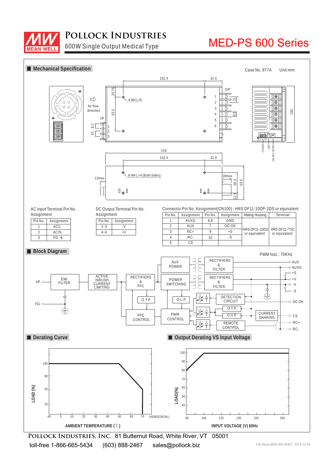

### **Pollock Industries**

600W Single Output Medical Type

# MED-PS 600 Series



**Pollock Industries, Inc.** 81 Butternut Road, White River, VT 05001 toll-free 1-866-665-5434 (603) 888-2467 sales@pollock.biz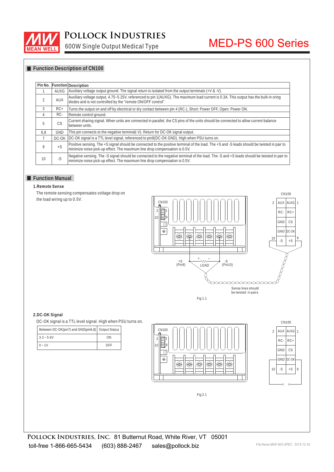

## **Pollock Industries**

600W Single Output Medical Type

# MED-PS 600 Series

### **Function Description of CN100**

| Pin No. |       | <b>Function Description</b>                                                                                                                                                                                              |
|---------|-------|--------------------------------------------------------------------------------------------------------------------------------------------------------------------------------------------------------------------------|
|         | AUXG  | Auxiliary voltage output ground. The signal return is isolated from the output terminals $(+V & 8 -V)$ .                                                                                                                 |
| 2       | AUX   | Auxiliary voltage output, 4.75~5.25V, referenced to pin 1(AUXG). The maximum load current is 0.3A. This output has the built-in oring<br>diodes and is not controlled by the "remote ON/OFF control".                    |
| 3       | $RC+$ | Turns the output on and off by electrical or dry contact between pin 4 (RC-), Short: Power OFF, Open: Power ON.                                                                                                          |
| 4       | RC-   | Remote control ground.                                                                                                                                                                                                   |
| 5       | CS    | Current sharing signal. When units are connected in parallel, the CS pins of the units should be connected to allow current balance<br>between units.                                                                    |
| 6.8     | GND   | This pin connects to the negative terminal(-V). Return for DC-OK signal output.                                                                                                                                          |
|         | DC-OK | DC-OK signal is a TTL level signal, referenced to pin8(DC-OK GND). High when PSU turns on.                                                                                                                               |
| 9       | $+S$  | Positive sensing. The +S signal should be connected to the positive terminal of the load. The +S and -S leads should be twisted in pair to<br>minimize noise pick-up effect. The maximum line drop compensation is 0.5V. |
| 10      | $-S$  | Negative sensing. The -S signal should be connected to the negative terminal of the load. The -S and +S leads should be twisted in pair to<br>minimize noise pick-up effect. The maximum line drop compensation is 0.5V. |

#### **Function Manual**

**1.Remote Sense**

The remote sensing compensates voltage drop on the load wiring up to 0.5V.



#### **2.DC-OK Signal**

| Between DC-OK(pin7) and GND(pin6,8) Output Status |     |  |
|---------------------------------------------------|-----|--|
| $3.3 - 5.6V$                                      | ON  |  |
| $0 - 1V$                                          | OFF |  |





Fig 2.1